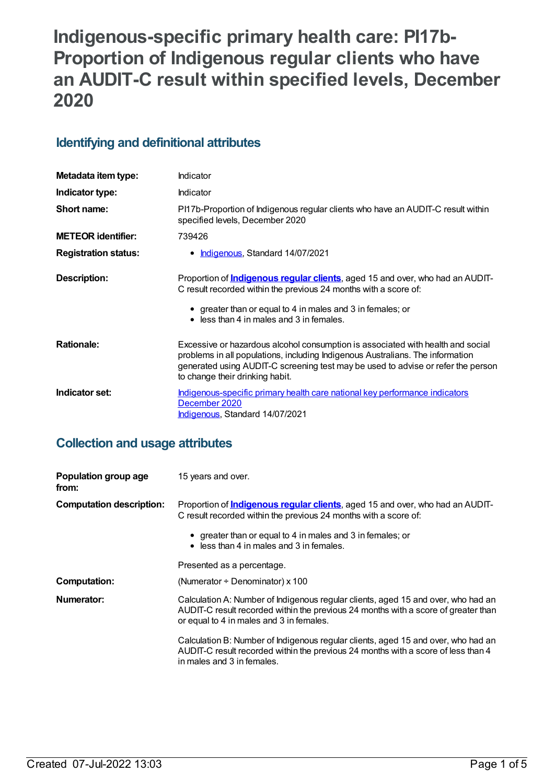# **Indigenous-specific primary health care: PI17b-Proportion of Indigenous regular clients who have an AUDIT-C result within specified levels, December 2020**

## **Identifying and definitional attributes**

| Metadata item type:         | Indicator                                                                                                                                                                                                                                                                                |
|-----------------------------|------------------------------------------------------------------------------------------------------------------------------------------------------------------------------------------------------------------------------------------------------------------------------------------|
| Indicator type:             | Indicator                                                                                                                                                                                                                                                                                |
| Short name:                 | PI17b-Proportion of Indigenous regular clients who have an AUDIT-C result within<br>specified levels, December 2020                                                                                                                                                                      |
| <b>METEOR identifier:</b>   | 739426                                                                                                                                                                                                                                                                                   |
| <b>Registration status:</b> | • Indigenous, Standard 14/07/2021                                                                                                                                                                                                                                                        |
| Description:                | Proportion of <b>Indigenous regular clients</b> , aged 15 and over, who had an AUDIT-<br>C result recorded within the previous 24 months with a score of:<br>• greater than or equal to 4 in males and 3 in females; or<br>$\bullet$ less than 4 in males and 3 in females.              |
| <b>Rationale:</b>           | Excessive or hazardous alcohol consumption is associated with health and social<br>problems in all populations, including Indigenous Australians. The information<br>generated using AUDIT-C screening test may be used to advise or refer the person<br>to change their drinking habit. |
| Indicator set:              | Indigenous-specific primary health care national key performance indicators<br>December 2020<br><b>Indigenous, Standard 14/07/2021</b>                                                                                                                                                   |

## **Collection and usage attributes**

| Population group age<br>from:   | 15 years and over.                                                                                                                                                                                                  |
|---------------------------------|---------------------------------------------------------------------------------------------------------------------------------------------------------------------------------------------------------------------|
| <b>Computation description:</b> | Proportion of <b>Indigenous regular clients</b> , aged 15 and over, who had an AUDIT-<br>C result recorded within the previous 24 months with a score of:                                                           |
|                                 | • greater than or equal to 4 in males and 3 in females; or<br>• less than 4 in males and 3 in females.                                                                                                              |
|                                 | Presented as a percentage.                                                                                                                                                                                          |
| <b>Computation:</b>             | (Numerator $\div$ Denominator) x 100                                                                                                                                                                                |
| Numerator:                      | Calculation A: Number of Indigenous regular clients, aged 15 and over, who had an<br>AUDIT-C result recorded within the previous 24 months with a score of greater than<br>or equal to 4 in males and 3 in females. |
|                                 | Calculation B: Number of Indigenous regular clients, aged 15 and over, who had an<br>AUDIT-C result recorded within the previous 24 months with a score of less than 4<br>in males and 3 in females.                |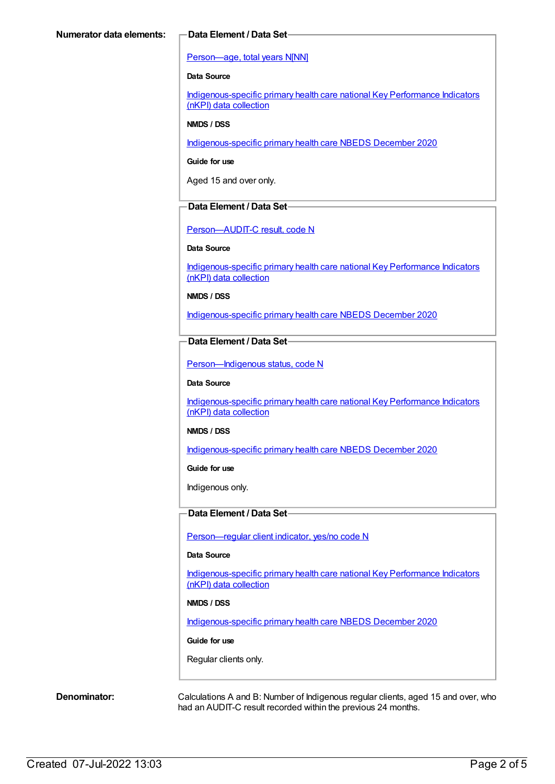#### [Person—age,](https://meteor.aihw.gov.au/content/303794) total years N[NN]

#### **Data Source**

[Indigenous-specific](https://meteor.aihw.gov.au/content/737914) primary health care national Key Performance Indicators (nKPI) data collection

#### **NMDS / DSS**

[Indigenous-specific](https://meteor.aihw.gov.au/content/738532) primary health care NBEDS December 2020

**Guide for use**

Aged 15 and over only.

#### **Data Element / Data Set**

[Person—AUDIT-C](https://meteor.aihw.gov.au/content/585194) result, code N

#### **Data Source**

[Indigenous-specific](https://meteor.aihw.gov.au/content/737914) primary health care national Key Performance Indicators (nKPI) data collection

**NMDS / DSS**

[Indigenous-specific](https://meteor.aihw.gov.au/content/738532) primary health care NBEDS December 2020

#### **Data Element / Data Set**

[Person—Indigenous](https://meteor.aihw.gov.au/content/602543) status, code N

#### **Data Source**

[Indigenous-specific](https://meteor.aihw.gov.au/content/737914) primary health care national Key Performance Indicators (nKPI) data collection

#### **NMDS / DSS**

[Indigenous-specific](https://meteor.aihw.gov.au/content/738532) primary health care NBEDS December 2020

**Guide for use**

Indigenous only.

### **Data Element / Data Set**

[Person—regular](https://meteor.aihw.gov.au/content/686291) client indicator, yes/no code N

#### **Data Source**

[Indigenous-specific](https://meteor.aihw.gov.au/content/737914) primary health care national Key Performance Indicators (nKPI) data collection

#### **NMDS / DSS**

[Indigenous-specific](https://meteor.aihw.gov.au/content/738532) primary health care NBEDS December 2020

#### **Guide for use**

Regular clients only.

**Denominator:** Calculations A and B: Number of Indigenous regular clients, aged 15 and over, who had an AUDIT-C result recorded within the previous 24 months.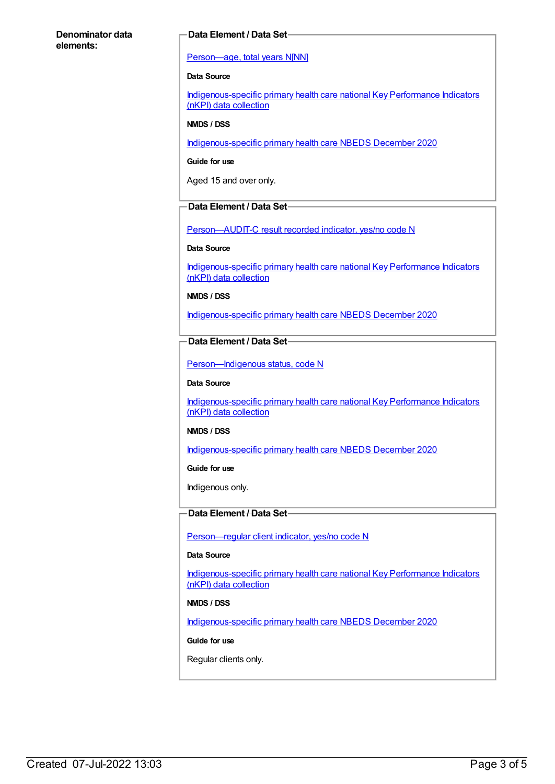#### **Denominator data elements:**

#### **Data Element / Data Set**

#### [Person—age,](https://meteor.aihw.gov.au/content/303794) total years N[NN]

#### **Data Source**

[Indigenous-specific](https://meteor.aihw.gov.au/content/737914) primary health care national Key Performance Indicators (nKPI) data collection

#### **NMDS / DSS**

[Indigenous-specific](https://meteor.aihw.gov.au/content/738532) primary health care NBEDS December 2020

**Guide for use**

Aged 15 and over only.

#### **Data Element / Data Set**

[Person—AUDIT-C](https://meteor.aihw.gov.au/content/585171) result recorded indicator, yes/no code N

#### **Data Source**

[Indigenous-specific](https://meteor.aihw.gov.au/content/737914) primary health care national Key Performance Indicators (nKPI) data collection

**NMDS / DSS**

[Indigenous-specific](https://meteor.aihw.gov.au/content/738532) primary health care NBEDS December 2020

#### **Data Element / Data Set**

[Person—Indigenous](https://meteor.aihw.gov.au/content/602543) status, code N

#### **Data Source**

[Indigenous-specific](https://meteor.aihw.gov.au/content/737914) primary health care national Key Performance Indicators (nKPI) data collection

#### **NMDS / DSS**

[Indigenous-specific](https://meteor.aihw.gov.au/content/738532) primary health care NBEDS December 2020

**Guide for use**

Indigenous only.

### **Data Element / Data Set**

[Person—regular](https://meteor.aihw.gov.au/content/686291) client indicator, yes/no code N

#### **Data Source**

[Indigenous-specific](https://meteor.aihw.gov.au/content/737914) primary health care national Key Performance Indicators (nKPI) data collection

#### **NMDS / DSS**

[Indigenous-specific](https://meteor.aihw.gov.au/content/738532) primary health care NBEDS December 2020

#### **Guide for use**

Regular clients only.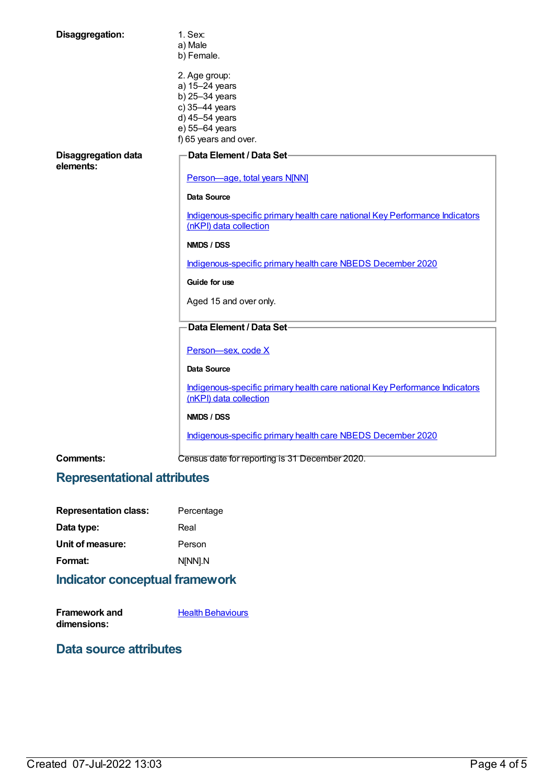| Disaggregation:                         | 1. Sex:<br>a) Male<br>b) Female.                                                                                                 |
|-----------------------------------------|----------------------------------------------------------------------------------------------------------------------------------|
|                                         | 2. Age group:<br>a) 15-24 years<br>b) 25-34 years<br>c) 35-44 years<br>d) 45-54 years<br>e) 55-64 years<br>f) 65 years and over. |
| <b>Disaggregation data</b><br>elements: | Data Element / Data Set-<br>Person-age, total years N[NN]                                                                        |
|                                         | Data Source                                                                                                                      |
|                                         | Indigenous-specific primary health care national Key Performance Indicators<br>(nKPI) data collection                            |
|                                         | NMDS / DSS                                                                                                                       |
|                                         | Indigenous-specific primary health care NBEDS December 2020                                                                      |
|                                         | Guide for use                                                                                                                    |
|                                         | Aged 15 and over only.                                                                                                           |
|                                         | Data Element / Data Set-                                                                                                         |
|                                         | Person-sex, code X                                                                                                               |
|                                         | <b>Data Source</b>                                                                                                               |
|                                         | Indigenous-specific primary health care national Key Performance Indicators<br>(nKPI) data collection                            |
|                                         | NMDS / DSS                                                                                                                       |
|                                         | Indigenous-specific primary health care NBEDS December 2020                                                                      |
| Comments:                               | Census date for reporting is 31 December 2020.                                                                                   |

# **Representational attributes**

| <b>Representation class:</b> | Percentage |
|------------------------------|------------|
| Data type:                   | Real       |
| Unit of measure:             | Person     |
| Format:                      | N[NN].N    |
|                              |            |

# **Indicator conceptual framework**

| Framework and | <b>Health Behaviours</b> |
|---------------|--------------------------|
| dimensions:   |                          |

## **Data source attributes**